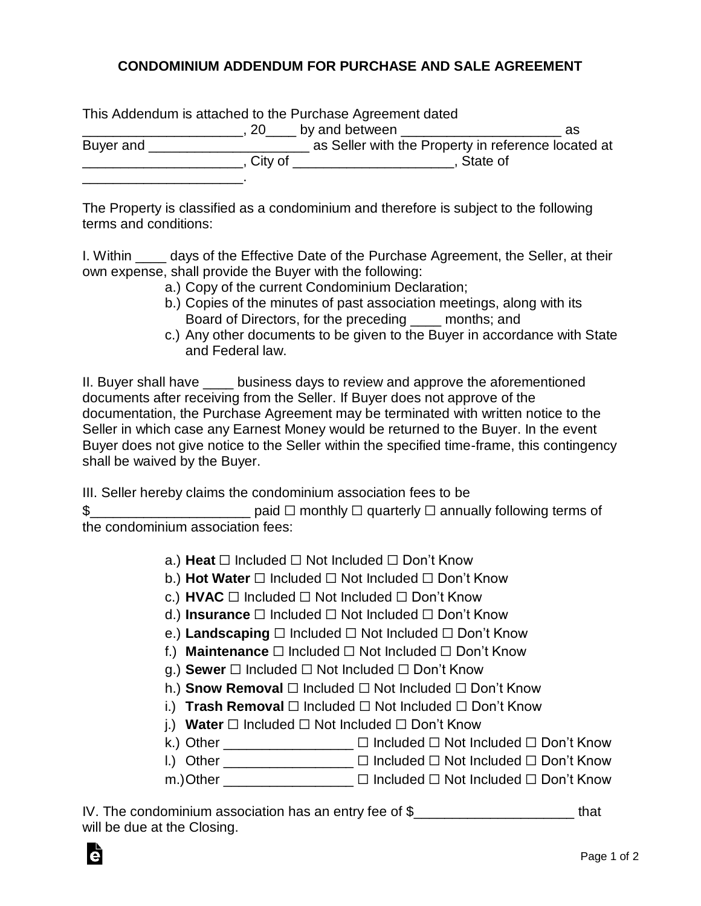## **CONDOMINIUM ADDENDUM FOR PURCHASE AND SALE AGREEMENT**

|           |             | This Addendum is attached to the Purchase Agreement dated |          |  |
|-----------|-------------|-----------------------------------------------------------|----------|--|
|           | , 20 $\_\_$ | by and between                                            | as       |  |
| Buyer and |             | as Seller with the Property in reference located at       |          |  |
|           | City of     |                                                           | State of |  |
|           |             |                                                           |          |  |

The Property is classified as a condominium and therefore is subject to the following terms and conditions:

I. Within \_\_\_\_ days of the Effective Date of the Purchase Agreement, the Seller, at their own expense, shall provide the Buyer with the following:

- a.) Copy of the current Condominium Declaration;
- b.) Copies of the minutes of past association meetings, along with its Board of Directors, for the preceding \_\_\_\_ months; and
- c.) Any other documents to be given to the Buyer in accordance with State and Federal law.

II. Buyer shall have business days to review and approve the aforementioned documents after receiving from the Seller. If Buyer does not approve of the documentation, the Purchase Agreement may be terminated with written notice to the Seller in which case any Earnest Money would be returned to the Buyer. In the event Buyer does not give notice to the Seller within the specified time-frame, this contingency shall be waived by the Buyer.

III. Seller hereby claims the condominium association fees to be

\$\_\_\_\_\_\_\_\_\_\_\_\_\_\_\_\_\_\_\_\_\_ paid ☐ monthly ☐ quarterly ☐ annually following terms of the condominium association fees:

## a.) **Heat** ☐ Included ☐ Not Included ☐ Don't Know

- b.) **Hot Water** ☐ Included ☐ Not Included ☐ Don't Know
- c.) **HVAC** ☐ Included ☐ Not Included ☐ Don't Know
- d.) **Insurance** ☐ Included ☐ Not Included ☐ Don't Know
- e.) **Landscaping** ☐ Included ☐ Not Included ☐ Don't Know
- f.) **Maintenance** ☐ Included ☐ Not Included ☐ Don't Know
- g.) **Sewer** ☐ Included ☐ Not Included ☐ Don't Know
- h.) **Snow Removal** ☐ Included ☐ Not Included ☐ Don't Know
- i.) **Trash Removal** ☐ Included ☐ Not Included ☐ Don't Know
- j.) **Water** ☐ Included ☐ Not Included ☐ Don't Know

k.) Other \_\_\_\_\_\_\_\_\_\_\_\_\_\_\_ □ Included □ Not Included □ Don't Know

- l.) Other \_\_\_\_\_\_\_\_\_\_\_\_\_\_\_\_\_ ☐ Included ☐ Not Included ☐ Don't Know
- m.)Other \_\_\_\_\_\_\_\_\_\_\_\_\_\_\_\_\_ ☐ Included ☐ Not Included ☐ Don't Know

| IV. The condominium association has an entry fee of $\S$ | that |
|----------------------------------------------------------|------|
| will be due at the Closing.                              |      |